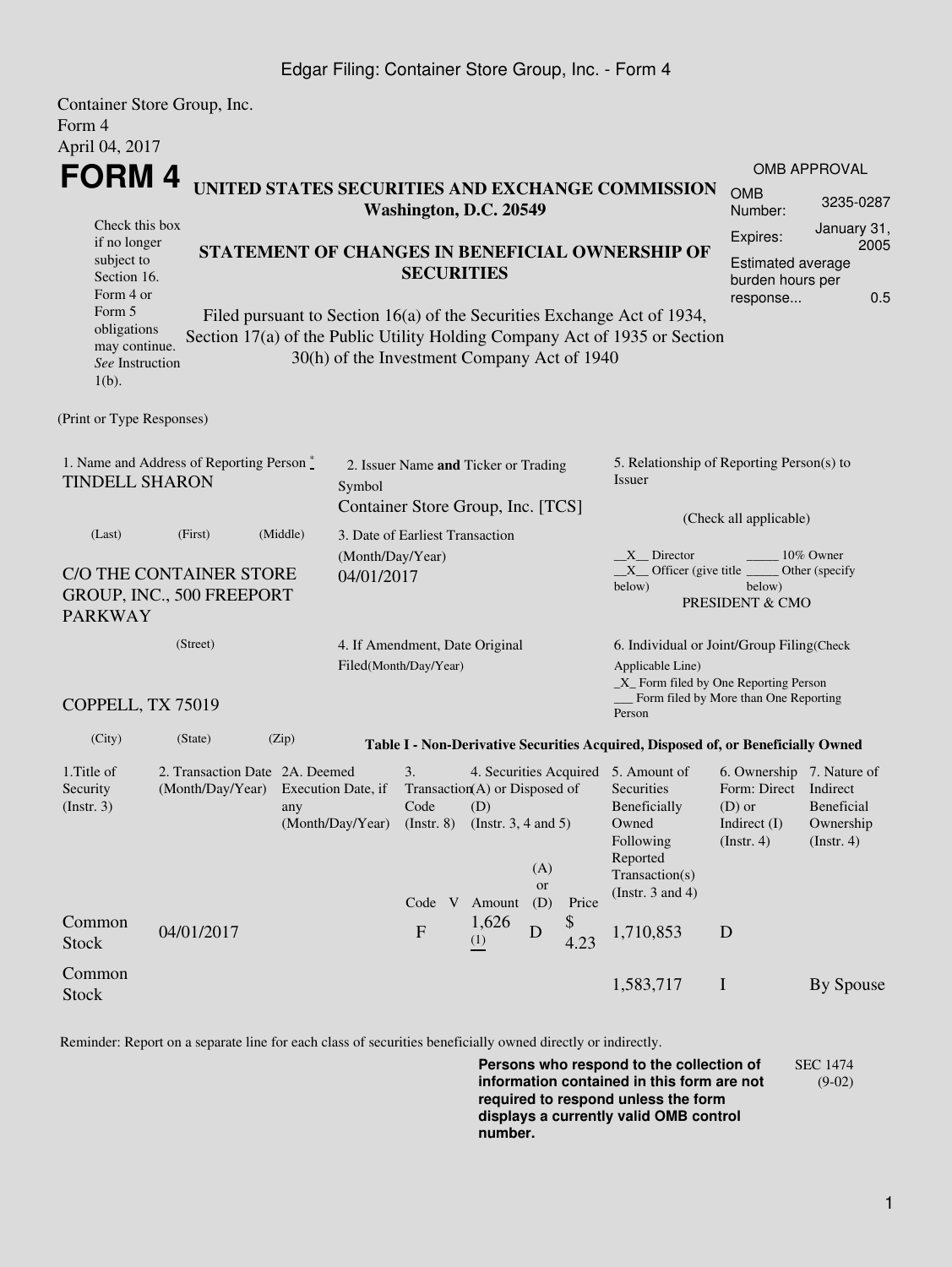### Edgar Filing: Container Store Group, Inc. - Form 4

|                                                                   | Container Store Group, Inc.                                                |                                                 |                                |                                                     |                   |                                     |                          |                                                                                  |                                       |                               |  |  |
|-------------------------------------------------------------------|----------------------------------------------------------------------------|-------------------------------------------------|--------------------------------|-----------------------------------------------------|-------------------|-------------------------------------|--------------------------|----------------------------------------------------------------------------------|---------------------------------------|-------------------------------|--|--|
| Form 4                                                            |                                                                            |                                                 |                                |                                                     |                   |                                     |                          |                                                                                  |                                       |                               |  |  |
| April 04, 2017                                                    |                                                                            |                                                 |                                |                                                     |                   |                                     |                          |                                                                                  |                                       |                               |  |  |
| <b>FORM4</b>                                                      |                                                                            |                                                 |                                |                                                     |                   |                                     |                          |                                                                                  |                                       | <b>OMB APPROVAL</b>           |  |  |
|                                                                   | UNITED STATES SECURITIES AND EXCHANGE COMMISSION<br>Washington, D.C. 20549 |                                                 |                                |                                                     |                   |                                     |                          |                                                                                  | <b>OMB</b><br>Number:                 | 3235-0287                     |  |  |
| Check this box<br>if no longer                                    |                                                                            |                                                 |                                |                                                     |                   |                                     | Expires:                 | January 31,                                                                      |                                       |                               |  |  |
| subject to                                                        |                                                                            | STATEMENT OF CHANGES IN BENEFICIAL OWNERSHIP OF |                                |                                                     |                   |                                     | <b>Estimated average</b> | 2005                                                                             |                                       |                               |  |  |
| Section 16.                                                       |                                                                            |                                                 |                                |                                                     | <b>SECURITIES</b> |                                     |                          |                                                                                  | burden hours per                      |                               |  |  |
| Form 4 or                                                         |                                                                            |                                                 |                                |                                                     |                   |                                     |                          |                                                                                  | response                              | 0.5                           |  |  |
| Form 5<br>obligations                                             |                                                                            |                                                 |                                |                                                     |                   |                                     |                          | Filed pursuant to Section 16(a) of the Securities Exchange Act of 1934,          |                                       |                               |  |  |
| may continue.                                                     |                                                                            |                                                 |                                |                                                     |                   |                                     |                          | Section 17(a) of the Public Utility Holding Company Act of 1935 or Section       |                                       |                               |  |  |
| See Instruction                                                   |                                                                            |                                                 |                                | 30(h) of the Investment Company Act of 1940         |                   |                                     |                          |                                                                                  |                                       |                               |  |  |
| $1(b)$ .                                                          |                                                                            |                                                 |                                |                                                     |                   |                                     |                          |                                                                                  |                                       |                               |  |  |
| (Print or Type Responses)                                         |                                                                            |                                                 |                                |                                                     |                   |                                     |                          |                                                                                  |                                       |                               |  |  |
|                                                                   |                                                                            |                                                 |                                | 2. Issuer Name and Ticker or Trading                |                   |                                     |                          | 5. Relationship of Reporting Person(s) to                                        |                                       |                               |  |  |
| 1. Name and Address of Reporting Person*<br><b>TINDELL SHARON</b> |                                                                            |                                                 |                                |                                                     |                   |                                     |                          | <b>Issuer</b>                                                                    |                                       |                               |  |  |
|                                                                   | Symbol<br>Container Store Group, Inc. [TCS]                                |                                                 |                                |                                                     |                   |                                     |                          |                                                                                  |                                       |                               |  |  |
|                                                                   |                                                                            | (Middle)                                        |                                |                                                     |                   |                                     |                          | (Check all applicable)                                                           |                                       |                               |  |  |
| (Last)                                                            | (First)                                                                    |                                                 |                                | 3. Date of Earliest Transaction<br>(Month/Day/Year) |                   |                                     |                          | X Director<br>10% Owner                                                          |                                       |                               |  |  |
|                                                                   | C/O THE CONTAINER STORE                                                    |                                                 | 04/01/2017                     |                                                     |                   |                                     |                          | $X$ Officer (give title $\overline{\phantom{a}}$<br>Other (specify               |                                       |                               |  |  |
| GROUP, INC., 500 FREEPORT                                         |                                                                            |                                                 |                                |                                                     |                   | below)<br>below)<br>PRESIDENT & CMO |                          |                                                                                  |                                       |                               |  |  |
| <b>PARKWAY</b>                                                    |                                                                            |                                                 |                                |                                                     |                   |                                     |                          |                                                                                  |                                       |                               |  |  |
| (Street)                                                          |                                                                            |                                                 | 4. If Amendment, Date Original |                                                     |                   |                                     |                          | 6. Individual or Joint/Group Filing(Check                                        |                                       |                               |  |  |
|                                                                   | Filed(Month/Day/Year)                                                      |                                                 |                                |                                                     |                   | Applicable Line)                    |                          |                                                                                  |                                       |                               |  |  |
|                                                                   |                                                                            |                                                 |                                |                                                     |                   |                                     |                          | _X_ Form filed by One Reporting Person                                           |                                       |                               |  |  |
| COPPELL, TX 75019                                                 |                                                                            |                                                 |                                |                                                     |                   |                                     |                          | Person                                                                           | Form filed by More than One Reporting |                               |  |  |
| (City)                                                            | (State)                                                                    | (Zip)                                           |                                |                                                     |                   |                                     |                          | Table I - Non-Derivative Securities Acquired, Disposed of, or Beneficially Owned |                                       |                               |  |  |
| 1. Title of                                                       | 2. Transaction Date 2A. Deemed                                             |                                                 |                                | 3.                                                  |                   |                                     |                          | 4. Securities Acquired 5. Amount of                                              | 6. Ownership 7. Nature of             |                               |  |  |
| Security                                                          | (Month/Day/Year)                                                           |                                                 | Execution Date, if             | Transaction(A) or Disposed of<br>Code<br>(D)        |                   |                                     |                          | Securities                                                                       | Form: Direct Indirect                 |                               |  |  |
| (Insert. 3)                                                       |                                                                            | any                                             |                                |                                                     |                   |                                     |                          | Beneficially                                                                     | $(D)$ or                              | <b>Beneficial</b>             |  |  |
|                                                                   |                                                                            |                                                 | (Month/Day/Year)               | (Instr. $3, 4$ and $5$ )<br>$($ Instr. 8 $)$        |                   |                                     |                          | Owned<br>Following                                                               | Indirect (I)<br>(Insert. 4)           | Ownership<br>$($ Instr. 4 $)$ |  |  |
|                                                                   |                                                                            |                                                 |                                |                                                     |                   |                                     |                          | Reported                                                                         |                                       |                               |  |  |
|                                                                   |                                                                            |                                                 |                                |                                                     |                   | (A)<br>or                           |                          | Transaction(s)                                                                   |                                       |                               |  |  |
|                                                                   |                                                                            |                                                 |                                | Code V Amount                                       |                   | (D)                                 | Price                    | (Instr. $3$ and $4$ )                                                            |                                       |                               |  |  |
| Common                                                            | 04/01/2017                                                                 |                                                 |                                | $\boldsymbol{\mathrm{F}}$                           | 1,626             | D                                   | \$                       | 1,710,853                                                                        | D                                     |                               |  |  |
| Stock                                                             |                                                                            |                                                 |                                |                                                     | (1)               |                                     | 4.23                     |                                                                                  |                                       |                               |  |  |
| Common                                                            |                                                                            |                                                 |                                |                                                     |                   |                                     |                          | 1,583,717                                                                        | $\mathbf I$                           | By Spouse                     |  |  |
| <b>Stock</b>                                                      |                                                                            |                                                 |                                |                                                     |                   |                                     |                          |                                                                                  |                                       |                               |  |  |

Reminder: Report on a separate line for each class of securities beneficially owned directly or indirectly.

**Persons who respond to the collection of information contained in this form are not required to respond unless the form displays a currently valid OMB control number.** SEC 1474 (9-02)